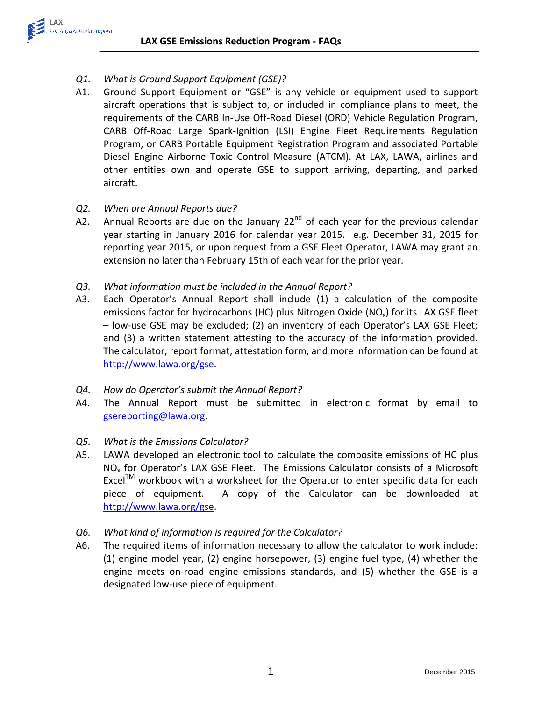*Q1. What is Ground Support Equipment (GSE)?*

LAX

Los Angeles World Airports

A1. Ground Support Equipment or "GSE" is any vehicle or equipment used to support aircraft operations that is subject to, or included in compliance plans to meet, the requirements of the CARB In-Use Off-Road Diesel (ORD) Vehicle Regulation Program, CARB Off-Road Large Spark-Ignition (LSI) Engine Fleet Requirements Regulation Program, or CARB Portable Equipment Registration Program and associated Portable Diesel Engine Airborne Toxic Control Measure (ATCM). At LAX, LAWA, airlines and other entities own and operate GSE to support arriving, departing, and parked aircraft.

## *Q2. When are Annual Reports due?*

- A2. Annual Reports are due on the January  $22^{nd}$  of each year for the previous calendar year starting in January 2016 for calendar year 2015. e.g. December 31, 2015 for reporting year 2015, or upon request from a GSE Fleet Operator, LAWA may grant an extension no later than February 15th of each year for the prior year.
- *Q3. What information must be included in the Annual Report?*
- A3. Each Operator's Annual Report shall include (1) a calculation of the composite emissions factor for hydrocarbons (HC) plus Nitrogen Oxide ( $NO<sub>x</sub>$ ) for its LAX GSE fleet – low-use GSE may be excluded; (2) an inventory of each Operator's LAX GSE Fleet; and (3) a written statement attesting to the accuracy of the information provided. The calculator, report format, attestation form, and more information can be found at [http://www.lawa.org/gse.](http://www.lawa.org/gse)
- *Q4. How do Operator's submit the Annual Report?*
- A4. The Annual Report must be submitted in electronic format by email to [gsereporting@lawa.org.](mailto:gsereporting@lawa.org)
- *Q5. What is the Emissions Calculator?*
- A5. LAWA developed an electronic tool to calculate the composite emissions of HC plus NO<sub>x</sub> for Operator's LAX GSE Fleet. The Emissions Calculator consists of a Microsoft  $\text{Excel}^{\text{TM}}$  workbook with a worksheet for the Operator to enter specific data for each piece of equipment. A copy of the Calculator can be downloaded at [http://www.lawa.org/gse.](http://www.lawa.org/gse)
- *Q6. What kind of information is required for the Calculator?*
- A6. The required items of information necessary to allow the calculator to work include: (1) engine model year, (2) engine horsepower, (3) engine fuel type, (4) whether the engine meets on-road engine emissions standards, and (5) whether the GSE is a designated low-use piece of equipment.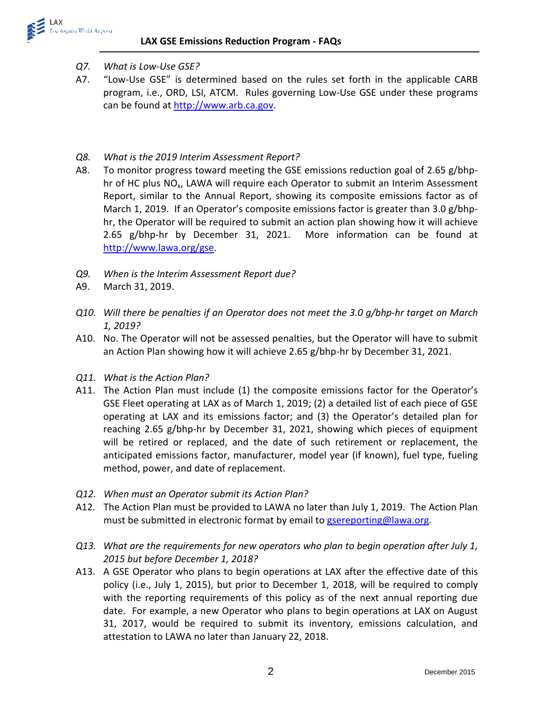- *Q7. What is Low-Use GSE?*
- A7. "Low-Use GSE" is determined based on the rules set forth in the applicable CARB program, i.e., ORD, LSI, ATCM. Rules governing Low-Use GSE under these programs can be found at [http://www.arb.ca.gov.](http://www.arb.ca.gov/)
- *Q8. What is the 2019 Interim Assessment Report?*
- A8. To monitor progress toward meeting the GSE emissions reduction goal of 2.65 g/bhphr of HC plus NO<sub>x</sub>, LAWA will require each Operator to submit an Interim Assessment Report, similar to the Annual Report, showing its composite emissions factor as of March 1, 2019. If an Operator's composite emissions factor is greater than 3.0 g/bhphr, the Operator will be required to submit an action plan showing how it will achieve 2.65 g/bhp-hr by December 31, 2021. More information can be found at [http://www.lawa.org/gse.](http://www.lawa.org/gse)
- *Q9. When is the Interim Assessment Report due?*
- A9. March 31, 2019.
- *Q10. Will there be penalties if an Operator does not meet the 3.0 g/bhp-hr target on March 1, 2019?*
- A10. No. The Operator will not be assessed penalties, but the Operator will have to submit an Action Plan showing how it will achieve 2.65 g/bhp-hr by December 31, 2021.
- *Q11. What is the Action Plan?*
- A11. The Action Plan must include (1) the composite emissions factor for the Operator's GSE Fleet operating at LAX as of March 1, 2019; (2) a detailed list of each piece of GSE operating at LAX and its emissions factor; and (3) the Operator's detailed plan for reaching 2.65 g/bhp-hr by December 31, 2021, showing which pieces of equipment will be retired or replaced, and the date of such retirement or replacement, the anticipated emissions factor, manufacturer, model year (if known), fuel type, fueling method, power, and date of replacement.
- *Q12. When must an Operator submit its Action Plan?*
- A12. The Action Plan must be provided to LAWA no later than July 1, 2019. The Action Plan must be submitted in electronic format by email to [gsereporting@lawa.org.](mailto:gsereporting@lawa.org)
- *Q13. What are the requirements for new operators who plan to begin operation after July 1, 2015 but before December 1, 2018?*
- A13. A GSE Operator who plans to begin operations at LAX after the effective date of this policy (i.e., July 1, 2015), but prior to December 1, 2018, will be required to comply with the reporting requirements of this policy as of the next annual reporting due date. For example, a new Operator who plans to begin operations at LAX on August 31, 2017, would be required to submit its inventory, emissions calculation, and attestation to LAWA no later than January 22, 2018.